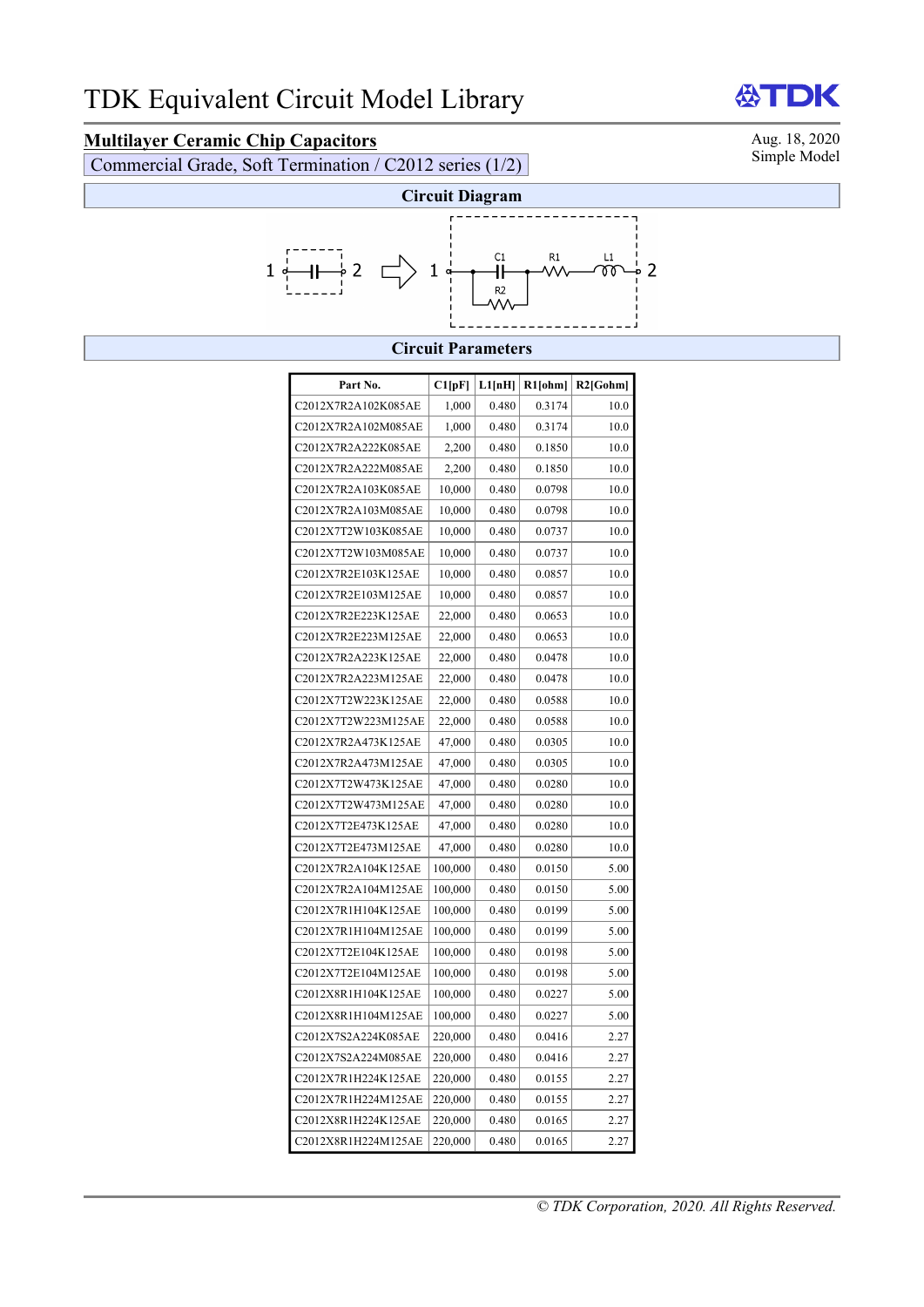## **Multilayer Ceramic Chip Capacitors**<br>
Commercial Grade Soft Termination / C2012 series (1/2) Simple Model

Commercial Grade, Soft Termination / C2012 series (1/2)



## **Circuit Parameters**

| Part No.            | Cl[pF]  | L1[nH] | R1[ohm] | $R2$ [Gohm] |
|---------------------|---------|--------|---------|-------------|
| C2012X7R2A102K085AE | 1,000   | 0.480  | 0.3174  | 10.0        |
| C2012X7R2A102M085AE | 1,000   | 0.480  | 0.3174  | 10.0        |
| C2012X7R2A222K085AE | 2,200   | 0.480  | 0.1850  | 10.0        |
| C2012X7R2A222M085AE | 2,200   | 0.480  | 0.1850  | 10.0        |
| C2012X7R2A103K085AE | 10,000  | 0.480  | 0.0798  | 10.0        |
| C2012X7R2A103M085AE | 10,000  | 0.480  | 0.0798  | 10.0        |
| C2012X7T2W103K085AE | 10,000  | 0.480  | 0.0737  | 10.0        |
| C2012X7T2W103M085AE | 10,000  | 0.480  | 0.0737  | 10.0        |
| C2012X7R2E103K125AE | 10,000  | 0.480  | 0.0857  | 10.0        |
| C2012X7R2E103M125AE | 10,000  | 0.480  | 0.0857  | 10.0        |
| C2012X7R2E223K125AE | 22,000  | 0.480  | 0.0653  | 10.0        |
| C2012X7R2E223M125AE | 22,000  | 0.480  | 0.0653  | 10.0        |
| C2012X7R2A223K125AE | 22,000  | 0.480  | 0.0478  | 10.0        |
| C2012X7R2A223M125AE | 22,000  | 0.480  | 0.0478  | 10.0        |
| C2012X7T2W223K125AE | 22,000  | 0.480  | 0.0588  | 10.0        |
| C2012X7T2W223M125AE | 22,000  | 0.480  | 0.0588  | 10.0        |
| C2012X7R2A473K125AE | 47,000  | 0.480  | 0.0305  | 10.0        |
| C2012X7R2A473M125AE | 47,000  | 0.480  | 0.0305  | 10.0        |
| C2012X7T2W473K125AE | 47,000  | 0.480  | 0.0280  | 10.0        |
| C2012X7T2W473M125AE | 47,000  | 0.480  | 0.0280  | 10.0        |
| C2012X7T2E473K125AE | 47,000  | 0.480  | 0.0280  | 10.0        |
| C2012X7T2E473M125AE | 47,000  | 0.480  | 0.0280  | 10.0        |
| C2012X7R2A104K125AE | 100,000 | 0.480  | 0.0150  | 5.00        |
| C2012X7R2A104M125AE | 100,000 | 0.480  | 0.0150  | 5.00        |
| C2012X7R1H104K125AE | 100,000 | 0.480  | 0.0199  | 5.00        |
| C2012X7R1H104M125AE | 100,000 | 0.480  | 0.0199  | 5.00        |
| C2012X7T2E104K125AE | 100,000 | 0.480  | 0.0198  | 5.00        |
| C2012X7T2E104M125AE | 100,000 | 0.480  | 0.0198  | 5.00        |
| C2012X8R1H104K125AE | 100,000 | 0.480  | 0.0227  | 5.00        |
| C2012X8R1H104M125AE | 100,000 | 0.480  | 0.0227  | 5.00        |
| C2012X7S2A224K085AE | 220,000 | 0.480  | 0.0416  | 2.27        |
| C2012X7S2A224M085AE | 220,000 | 0.480  | 0.0416  | 2.27        |
| C2012X7R1H224K125AE | 220,000 | 0.480  | 0.0155  | 2.27        |
| C2012X7R1H224M125AE | 220,000 | 0.480  | 0.0155  | 2.27        |
| C2012X8R1H224K125AE | 220,000 | 0.480  | 0.0165  | 2.27        |
| C2012X8R1H224M125AE | 220,000 | 0.480  | 0.0165  | 2.27        |